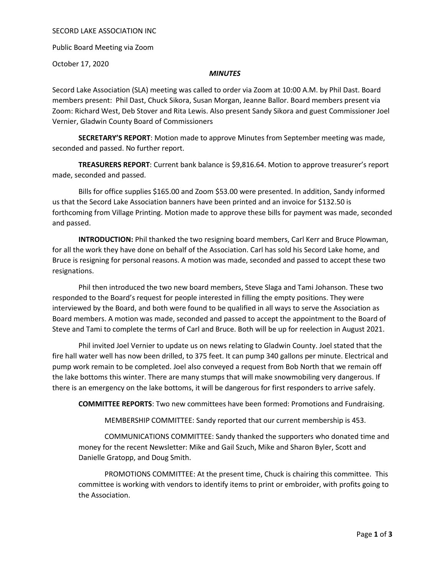## SECORD LAKE ASSOCIATION INC

Public Board Meeting via Zoom

October 17, 2020

## *MINUTES*

Secord Lake Association (SLA) meeting was called to order via Zoom at 10:00 A.M. by Phil Dast. Board members present: Phil Dast, Chuck Sikora, Susan Morgan, Jeanne Ballor. Board members present via Zoom: Richard West, Deb Stover and Rita Lewis. Also present Sandy Sikora and guest Commissioner Joel Vernier, Gladwin County Board of Commissioners

**SECRETARY'S REPORT**: Motion made to approve Minutes from September meeting was made, seconded and passed. No further report.

TREASURERS REPORT: Current bank balance is \$9,816.64. Motion to approve treasurer's report made, seconded and passed.

Bills for office supplies \$165.00 and Zoom \$53.00 were presented. In addition, Sandy informed us that the Secord Lake Association banners have been printed and an invoice for \$132.50 is forthcoming from Village Printing. Motion made to approve these bills for payment was made, seconded and passed.

**INTRODUCTION:** Phil thanked the two resigning board members, Carl Kerr and Bruce Plowman, for all the work they have done on behalf of the Association. Carl has sold his Secord Lake home, and Bruce is resigning for personal reasons. A motion was made, seconded and passed to accept these two resignations.

Phil then introduced the two new board members, Steve Slaga and Tami Johanson. These two responded to the Board's request for people interested in filling the empty positions. They were interviewed by the Board, and both were found to be qualified in all ways to serve the Association as Board members. A motion was made, seconded and passed to accept the appointment to the Board of Steve and Tami to complete the terms of Carl and Bruce. Both will be up for reelection in August 2021.

Phil invited Joel Vernier to update us on news relating to Gladwin County. Joel stated that the fire hall water well has now been drilled, to 375 feet. It can pump 340 gallons per minute. Electrical and pump work remain to be completed. Joel also conveyed a request from Bob North that we remain off the lake bottoms this winter. There are many stumps that will make snowmobiling very dangerous. If there is an emergency on the lake bottoms, it will be dangerous for first responders to arrive safely.

COMMITTEE REPORTS: Two new committees have been formed: Promotions and Fundraising.

MEMBERSHIP COMMITTEE: Sandy reported that our current membership is 453.

COMMUNICATIONS COMMITTEE: Sandy thanked the supporters who donated time and money for the recent Newsletter: Mike and Gail Szuch, Mike and Sharon Byler, Scott and Danielle Gratopp, and Doug Smith.

PROMOTIONS COMMITTEE: At the present time, Chuck is chairing this committee. This committee is working with vendors to identify items to print or embroider, with profits going to the Association.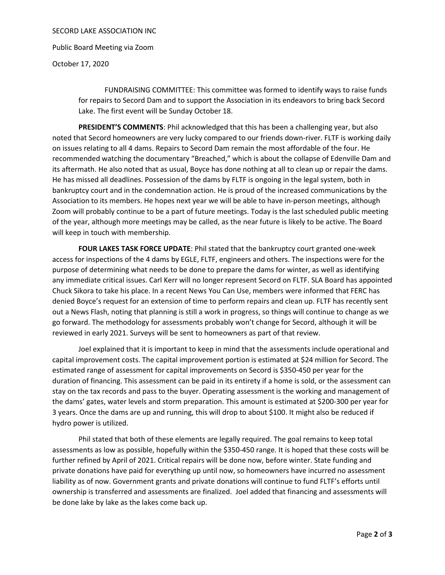## SECORD LAKE ASSOCIATION INC

Public Board Meeting via Zoom

October 17, 2020

FUNDRAISING COMMITTEE: This committee was formed to identify ways to raise funds for repairs to Secord Dam and to support the Association in its endeavors to bring back Secord Lake. The first event will be Sunday October 18.

PRESIDENT'S COMMENTS: Phil acknowledged that this has been a challenging year, but also noted that Secord homeowners are very lucky compared to our friends down-river. FLTF is working daily on issues relating to all 4 dams. Repairs to Secord Dam remain the most affordable of the four. He recommended watching the documentary "Breached," which is about the collapse of Edenville Dam and its aftermath. He also noted that as usual, Boyce has done nothing at all to clean up or repair the dams. He has missed all deadlines. Possession of the dams by FLTF is ongoing in the legal system, both in bankruptcy court and in the condemnation action. He is proud of the increased communications by the Association to its members. He hopes next year we will be able to have in-person meetings, although Zoom will probably continue to be a part of future meetings. Today is the last scheduled public meeting of the year, although more meetings may be called, as the near future is likely to be active. The Board will keep in touch with membership.

FOUR LAKES TASK FORCE UPDATE: Phil stated that the bankruptcy court granted one-week access for inspections of the 4 dams by EGLE, FLTF, engineers and others. The inspections were for the purpose of determining what needs to be done to prepare the dams for winter, as well as identifying any immediate critical issues. Carl Kerr will no longer represent Secord on FLTF. SLA Board has appointed Chuck Sikora to take his place. In a recent News You Can Use, members were informed that FERC has denied Boyce's request for an extension of time to perform repairs and clean up. FLTF has recently sent out a News Flash, noting that planning is still a work in progress, so things will continue to change as we go forward. The methodology for assessments probably won't change for Secord, although it will be reviewed in early 2021. Surveys will be sent to homeowners as part of that review.

Joel explained that it is important to keep in mind that the assessments include operational and capital improvement costs. The capital improvement portion is estimated at \$24 million for Secord. The estimated range of assessment for capital improvements on Secord is \$350-450 per year for the duration of financing. This assessment can be paid in its entirety if a home is sold, or the assessment can stay on the tax records and pass to the buyer. Operating assessment is the working and management of the dams' gates, water levels and storm preparation. This amount is estimated at \$200-300 per year for 3 years. Once the dams are up and running, this will drop to about \$100. It might also be reduced if hydro power is utilized.

Phil stated that both of these elements are legally required. The goal remains to keep total assessments as low as possible, hopefully within the \$350-450 range. It is hoped that these costs will be further refined by April of 2021. Critical repairs will be done now, before winter. State funding and private donations have paid for everything up until now, so homeowners have incurred no assessment liability as of now. Government grants and private donations will continue to fund FLTF's efforts until ownership is transferred and assessments are finalized. Joel added that financing and assessments will be done lake by lake as the lakes come back up.